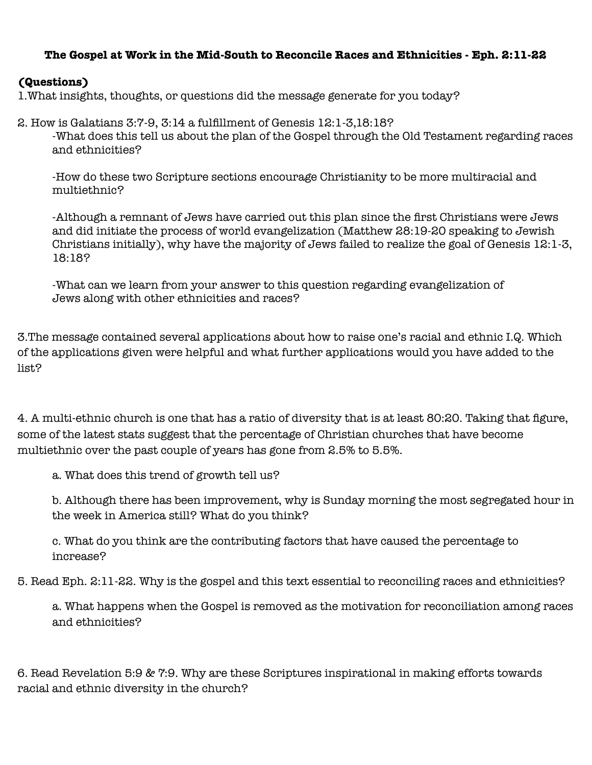## **The Gospel at Work in the Mid-South to Reconcile Races and Ethnicities - Eph. 2:11-22**

## **(Questions)**

1.What insights, thoughts, or questions did the message generate for you today?

2. How is Galatians 3:7-9, 3:14 a fulfillment of Genesis 12:1-3,18:18? -What does this tell us about the plan of the Gospel through the Old Testament regarding races and ethnicities?

-How do these two Scripture sections encourage Christianity to be more multiracial and multiethnic?

-Although a remnant of Jews have carried out this plan since the first Christians were Jews and did initiate the process of world evangelization (Matthew 28:19-20 speaking to Jewish Christians initially), why have the majority of Jews failed to realize the goal of Genesis 12:1-3, 18:18?

-What can we learn from your answer to this question regarding evangelization of Jews along with other ethnicities and races?

3.The message contained several applications about how to raise one's racial and ethnic I.Q. Which of the applications given were helpful and what further applications would you have added to the list?

4. A multi-ethnic church is one that has a ratio of diversity that is at least 80:20. Taking that figure, some of the latest stats suggest that the percentage of Christian churches that have become multiethnic over the past couple of years has gone from 2.5% to 5.5%.

a. What does this trend of growth tell us?

b. Although there has been improvement, why is Sunday morning the most segregated hour in the week in America still? What do you think?

c. What do you think are the contributing factors that have caused the percentage to increase?

5. Read Eph. 2:11-22. Why is the gospel and this text essential to reconciling races and ethnicities?

a. What happens when the Gospel is removed as the motivation for reconciliation among races and ethnicities?

6. Read Revelation 5:9 & 7:9. Why are these Scriptures inspirational in making efforts towards racial and ethnic diversity in the church?